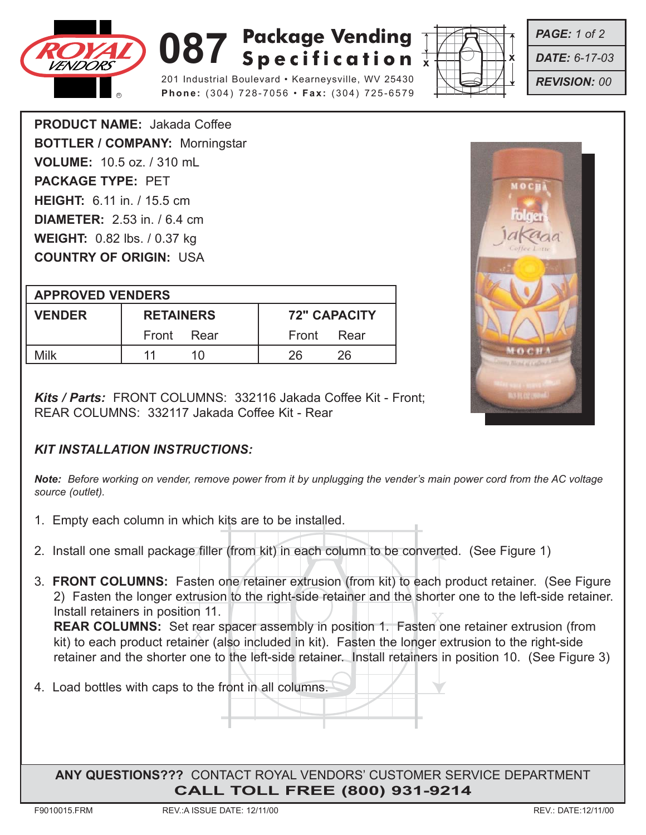

## **087** Specification  $\frac{1}{x}$ Specification

201 Industrial Boulevard • Kearneysville, WV 25430 **Phone:** (304) 728-7056 • **Fax:** (304) 725-6579



*PAGE: 1 of 2*

*DATE: 6-17-03*

*REVISION: 00*

**PRODUCT NAME:** Jakada Coffee **BOTTLER / COMPANY:** Morningstar **VOLUME:** 10.5 oz. / 310 mL **PACKAGE TYPE:** PET **HEIGHT:** 6.11 in. / 15.5 cm **DIAMETER:** 2.53 in. / 6.4 cm **WEIGHT:** 0.82 lbs. / 0.37 kg **COUNTRY OF ORIGIN:** USA

| <b>APPROVED VENDERS</b> |                  |                     |
|-------------------------|------------------|---------------------|
| <b>VENDER</b>           | <b>RETAINERS</b> | <b>72" CAPACITY</b> |
|                         | Front Rear       | Rear<br>Front       |
| Milk                    | 1 N              | 26<br>26            |

*Kits / Parts:* FRONT COLUMNS: 332116 Jakada Coffee Kit - Front; REAR COLUMNS: 332117 Jakada Coffee Kit - Rear

## *KIT INSTALLATION INSTRUCTIONS:*

*Note: Before working on vender, remove power from it by unplugging the vender's main power cord from the AC voltage source (outlet).*

- 1. Empty each column in which kits are to be installed.
- 2. Install one small package filler (from kit) in each column to be converted. (See Figure 1)
- 3. **FRONT COLUMNS:** Fasten one retainer extrusion (from kit) to each product retainer. (See Figure 2) Fasten the longer extrusion to the right-side retainer and the shorter one to the left-side retainer. Install retainers in position 11.

Install retainers in position 11.<br>REAR COLUMNS: Set rear spacer assembly in position 1. Fasten one retainer extrusion (from REAR COLUMNS: Set rear spacer assembly in position 1. Fasten one retainer extrusion (froi<br>kit) to each product retainer (also included in kit). Fasten the longer extrusion to the right-side retainer and the shorter one to the left-side retainer. Install retainers in position 10. (See Figure 3)

4. Load bottles with caps to the front in all columns.

**ANY QUESTIONS???** CONTACT ROYAL VENDORS' CUSTOMER SERVICE DEPARTMENT **CALL TOLL FREE (800) 931-9214**